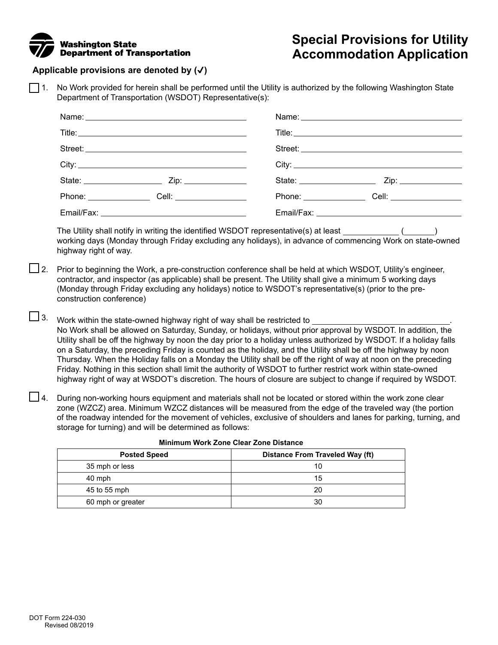## **Washington** State Department of Transportation

# **Special Provisions for Utility Accommodation Application**

### **Applicable provisions are denoted by (**✔**)**

1. No Work provided for herein shall be performed until the Utility is authorized by the following Washington State Department of Transportation (WSDOT) Representative(s):

|  | State: ______________________ | Zip: _______________    |  |
|--|-------------------------------|-------------------------|--|
|  | Phone: $\sqrt{ }$             | Cell: _________________ |  |
|  |                               |                         |  |

The Utility shall notify in writing the identified WSDOT representative(s) at least  $($   $)$ working days (Monday through Friday excluding any holidays), in advance of commencing Work on state-owned highway right of way.

- $\Box$  2. Prior to beginning the Work, a pre-construction conference shall be held at which WSDOT, Utility's engineer, contractor, and inspector (as applicable) shall be present. The Utility shall give a minimum 5 working days (Monday through Friday excluding any holidays) notice to WSDOT's representative(s) (prior to the preconstruction conference)
- $\square$  3. Work within the state-owned highway right of way shall be restricted to  $\_$ No Work shall be allowed on Saturday, Sunday, or holidays, without prior approval by WSDOT. In addition, the Utility shall be off the highway by noon the day prior to a holiday unless authorized by WSDOT. If a holiday falls on a Saturday, the preceding Friday is counted as the holiday, and the Utility shall be off the highway by noon Thursday. When the Holiday falls on a Monday the Utility shall be off the right of way at noon on the preceding Friday. Nothing in this section shall limit the authority of WSDOT to further restrict work within state-owned highway right of way at WSDOT's discretion. The hours of closure are subject to change if required by WSDOT.
- $\Box$  4. During non-working hours equipment and materials shall not be located or stored within the work zone clear zone (WZCZ) area. Minimum WZCZ distances will be measured from the edge of the traveled way (the portion of the roadway intended for the movement of vehicles, exclusive of shoulders and lanes for parking, turning, and storage for turning) and will be determined as follows:

| <b>Posted Speed</b> | <b>Distance From Traveled Way (ft)</b> |
|---------------------|----------------------------------------|
| 35 mph or less      | 10                                     |
| 40 mph              | 15                                     |
| 45 to 55 mph        | 20                                     |
| 60 mph or greater   | 30                                     |

|  | <b>Minimum Work Zone Clear Zone Distance</b> |
|--|----------------------------------------------|
|--|----------------------------------------------|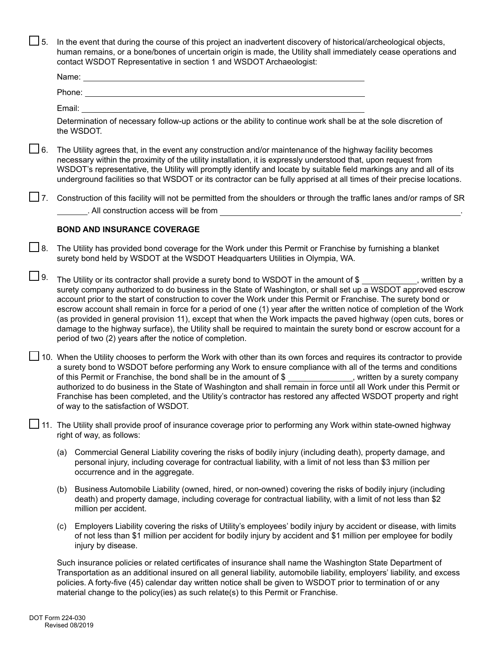$\Box$  5. In the event that during the course of this project an inadvertent discovery of historical/archeological objects, human remains, or a bone/bones of uncertain origin is made, the Utility shall immediately cease operations and contact WSDOT Representative in section 1 and WSDOT Archaeologist:

| Name:  |  |
|--------|--|
| Phone: |  |
|        |  |

Email:

Determination of necessary follow-up actions or the ability to continue work shall be at the sole discretion of the WSDOT.

- $\Box$  6. The Utility agrees that, in the event any construction and/or maintenance of the highway facility becomes necessary within the proximity of the utility installation, it is expressly understood that, upon request from WSDOT's representative, the Utility will promptly identify and locate by suitable field markings any and all of its underground facilities so that WSDOT or its contractor can be fully apprised at all times of their precise locations.
- $\square$  7. Construction of this facility will not be permitted from the shoulders or through the traffic lanes and/or ramps of SR . All construction access will be from

#### **BOND AND INSURANCE COVERAGE**

- $\square$  8. The Utility has provided bond coverage for the Work under this Permit or Franchise by furnishing a blanket surety bond held by WSDOT at the WSDOT Headquarters Utilities in Olympia, WA.
- $\Box$  9. The Utility or its contractor shall provide a surety bond to WSDOT in the amount of \$ \_\_\_\_\_\_\_\_\_\_, written by a surety company authorized to do business in the State of Washington, or shall set up a WSDOT approved escrow account prior to the start of construction to cover the Work under this Permit or Franchise. The surety bond or escrow account shall remain in force for a period of one (1) year after the written notice of completion of the Work (as provided in general provision 11), except that when the Work impacts the paved highway (open cuts, bores or damage to the highway surface), the Utility shall be required to maintain the surety bond or escrow account for a period of two (2) years after the notice of completion.
- $\Box$  10. When the Utility chooses to perform the Work with other than its own forces and requires its contractor to provide a surety bond to WSDOT before performing any Work to ensure compliance with all of the terms and conditions of this Permit or Franchise, the bond shall be in the amount of  $\frac{1}{2}$  , written by a surety company authorized to do business in the State of Washington and shall remain in force until all Work under this Permit or Franchise has been completed, and the Utility's contractor has restored any affected WSDOT property and right of way to the satisfaction of WSDOT.
- 11. The Utility shall provide proof of insurance coverage prior to performing any Work within state-owned highway right of way, as follows:
	- (a) Commercial General Liability covering the risks of bodily injury (including death), property damage, and personal injury, including coverage for contractual liability, with a limit of not less than \$3 million per occurrence and in the aggregate.
	- (b) Business Automobile Liability (owned, hired, or non-owned) covering the risks of bodily injury (including death) and property damage, including coverage for contractual liability, with a limit of not less than \$2 million per accident.
	- (c) Employers Liability covering the risks of Utility's employees' bodily injury by accident or disease, with limits of not less than \$1 million per accident for bodily injury by accident and \$1 million per employee for bodily injury by disease.

Such insurance policies or related certificates of insurance shall name the Washington State Department of Transportation as an additional insured on all general liability, automobile liability, employers' liability, and excess policies. A forty-five (45) calendar day written notice shall be given to WSDOT prior to termination of or any material change to the policy(ies) as such relate(s) to this Permit or Franchise.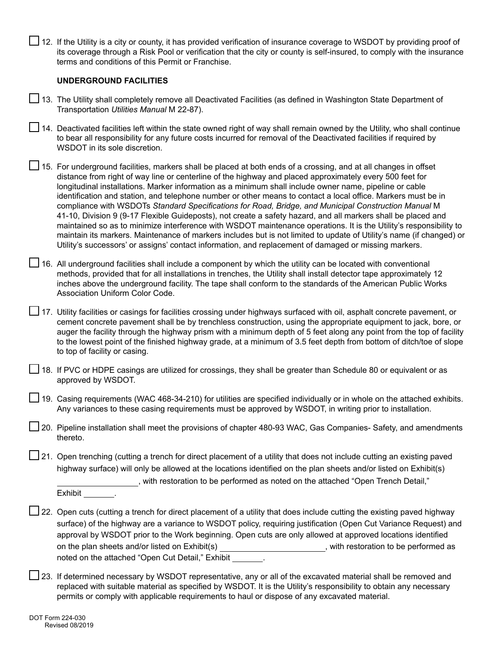□ 12. If the Utility is a city or county, it has provided verification of insurance coverage to WSDOT by providing proof of its coverage through a Risk Pool or verification that the city or county is self-insured, to comply with the insurance terms and conditions of this Permit or Franchise.

#### **UNDERGROUND FACILITIES**

13. The Utility shall completely remove all Deactivated Facilities (as defined in Washington State Department of Transportation *Utilities Manual* M 22-87).

14. Deactivated facilities left within the state owned right of way shall remain owned by the Utility, who shall continue to bear all responsibility for any future costs incurred for removal of the Deactivated facilities if required by WSDOT in its sole discretion.

15. For underground facilities, markers shall be placed at both ends of a crossing, and at all changes in offset distance from right of way line or centerline of the highway and placed approximately every 500 feet for longitudinal installations. Marker information as a minimum shall include owner name, pipeline or cable identification and station, and telephone number or other means to contact a local office. Markers must be in compliance with WSDOTs *Standard Specifications for Road, Bridge, and Municipal Construction Manual* M 41-10, Division 9 (9-17 Flexible Guideposts), not create a safety hazard, and all markers shall be placed and maintained so as to minimize interference with WSDOT maintenance operations. It is the Utility's responsibility to maintain its markers. Maintenance of markers includes but is not limited to update of Utility's name (if changed) or Utility's successors' or assigns' contact information, and replacement of damaged or missing markers.

 $\Box$  16. All underground facilities shall include a component by which the utility can be located with conventional methods, provided that for all installations in trenches, the Utility shall install detector tape approximately 12 inches above the underground facility. The tape shall conform to the standards of the American Public Works Association Uniform Color Code.

 $□$  17. Utility facilities or casings for facilities crossing under highways surfaced with oil, asphalt concrete pavement, or cement concrete pavement shall be by trenchless construction, using the appropriate equipment to jack, bore, or auger the facility through the highway prism with a minimum depth of 5 feet along any point from the top of facility to the lowest point of the finished highway grade, at a minimum of 3.5 feet depth from bottom of ditch/toe of slope to top of facility or casing.

| 18. If PVC or HDPE casings are utilized for crossings, they shall be greater than Schedule 80 or equivalent or as |  |
|-------------------------------------------------------------------------------------------------------------------|--|
| approved by WSDOT.                                                                                                |  |

 $\Box$  19. Casing requirements (WAC 468-34-210) for utilities are specified individually or in whole on the attached exhibits. Any variances to these casing requirements must be approved by WSDOT, in writing prior to installation.

20. Pipeline installation shall meet the provisions of chapter 480-93 WAC, Gas Companies- Safety, and amendments thereto.

 $\Box$  21. Open trenching (cutting a trench for direct placement of a utility that does not include cutting an existing paved highway surface) will only be allowed at the locations identified on the plan sheets and/or listed on Exhibit(s)

, with restoration to be performed as noted on the attached "Open Trench Detail,"

Exhibit .

- $\Box$  22. Open cuts (cutting a trench for direct placement of a utility that does include cutting the existing paved highway surface) of the highway are a variance to WSDOT policy, requiring justification (Open Cut Variance Request) and approval by WSDOT prior to the Work beginning. Open cuts are only allowed at approved locations identified on the plan sheets and/or listed on Exhibit(s) Materian matches with restoration to be performed as noted on the attached "Open Cut Detail," Exhibit .
- □ 23. If determined necessary by WSDOT representative, any or all of the excavated material shall be removed and replaced with suitable material as specified by WSDOT. It is the Utility's responsibility to obtain any necessary permits or comply with applicable requirements to haul or dispose of any excavated material.